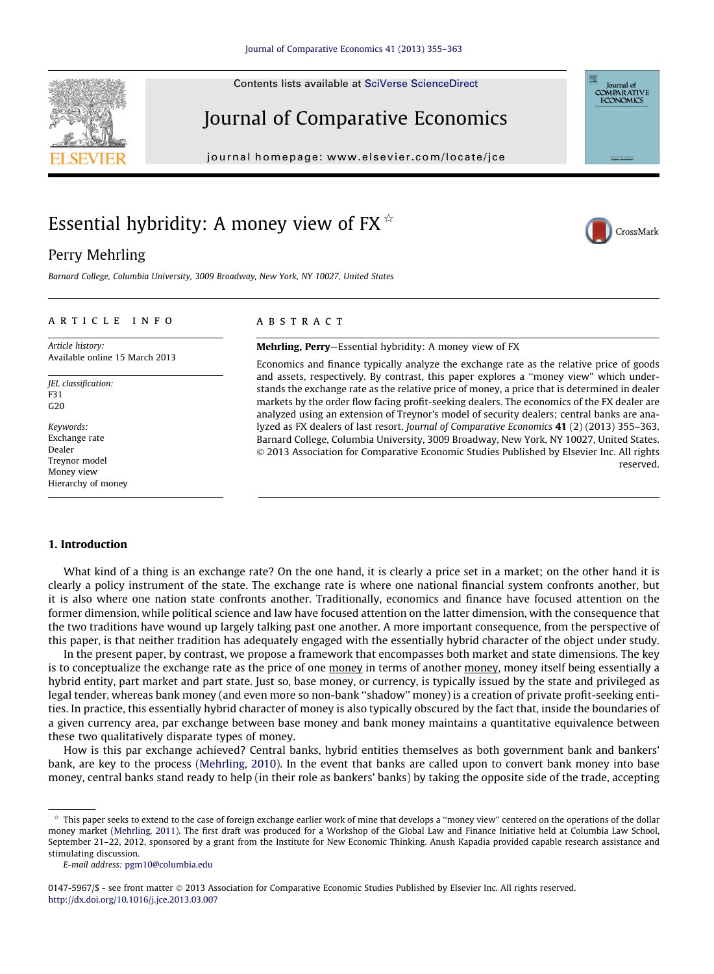Contents lists available at [SciVerse ScienceDirect](http://www.sciencedirect.com/science/journal/01475967)





journal homepage: [www.elsevier.com/locate/jce](http://www.elsevier.com/locate/jce)

and Journal of<br>COMPARATIVE<br>ECONOMICS

CrossMark

# Essential hybridity: A money view of  $FX^*$

# Perry Mehrling

Barnard College, Columbia University, 3009 Broadway, New York, NY 10027, United States

# article info

Article history: Available online 15 March 2013

JEL classification: F31 G<sub>20</sub>

Keywords: Exchange rate Dealer Treynor model Money view Hierarchy of money

# **ABSTRACT**

#### Mehrling, Perry—Essential hybridity: A money view of FX

Economics and finance typically analyze the exchange rate as the relative price of goods and assets, respectively. By contrast, this paper explores a ''money view'' which understands the exchange rate as the relative price of money, a price that is determined in dealer markets by the order flow facing profit-seeking dealers. The economics of the FX dealer are analyzed using an extension of Treynor's model of security dealers; central banks are analyzed as FX dealers of last resort. Journal of Comparative Economics 41 (2) (2013) 355–363. Barnard College, Columbia University, 3009 Broadway, New York, NY 10027, United States. © 2013 Association for Comparative Economic Studies Published by Elsevier Inc. All rights reserved.

# 1. Introduction

What kind of a thing is an exchange rate? On the one hand, it is clearly a price set in a market; on the other hand it is clearly a policy instrument of the state. The exchange rate is where one national financial system confronts another, but it is also where one nation state confronts another. Traditionally, economics and finance have focused attention on the former dimension, while political science and law have focused attention on the latter dimension, with the consequence that the two traditions have wound up largely talking past one another. A more important consequence, from the perspective of this paper, is that neither tradition has adequately engaged with the essentially hybrid character of the object under study.

In the present paper, by contrast, we propose a framework that encompasses both market and state dimensions. The key is to conceptualize the exchange rate as the price of one money in terms of another money, money itself being essentially a hybrid entity, part market and part state. Just so, base money, or currency, is typically issued by the state and privileged as legal tender, whereas bank money (and even more so non-bank ''shadow'' money) is a creation of private profit-seeking entities. In practice, this essentially hybrid character of money is also typically obscured by the fact that, inside the boundaries of a given currency area, par exchange between base money and bank money maintains a quantitative equivalence between these two qualitatively disparate types of money.

How is this par exchange achieved? Central banks, hybrid entities themselves as both government bank and bankers' bank, are key to the process [\(Mehrling, 2010\)](#page-8-0). In the event that banks are called upon to convert bank money into base money, central banks stand ready to help (in their role as bankers' banks) by taking the opposite side of the trade, accepting

 $*$  This paper seeks to extend to the case of foreign exchange earlier work of mine that develops a "money view" centered on the operations of the dollar money market ([Mehrling, 2011\)](#page-8-0). The first draft was produced for a Workshop of the Global Law and Finance Initiative held at Columbia Law School, September 21–22, 2012, sponsored by a grant from the Institute for New Economic Thinking. Anush Kapadia provided capable research assistance and stimulating discussion.

E-mail address: [pgm10@columbia.edu](mailto:pgm10@columbia.edu)

<sup>0147-5967/\$ -</sup> see front matter © 2013 Association for Comparative Economic Studies Published by Elsevier Inc. All rights reserved. <http://dx.doi.org/10.1016/j.jce.2013.03.007>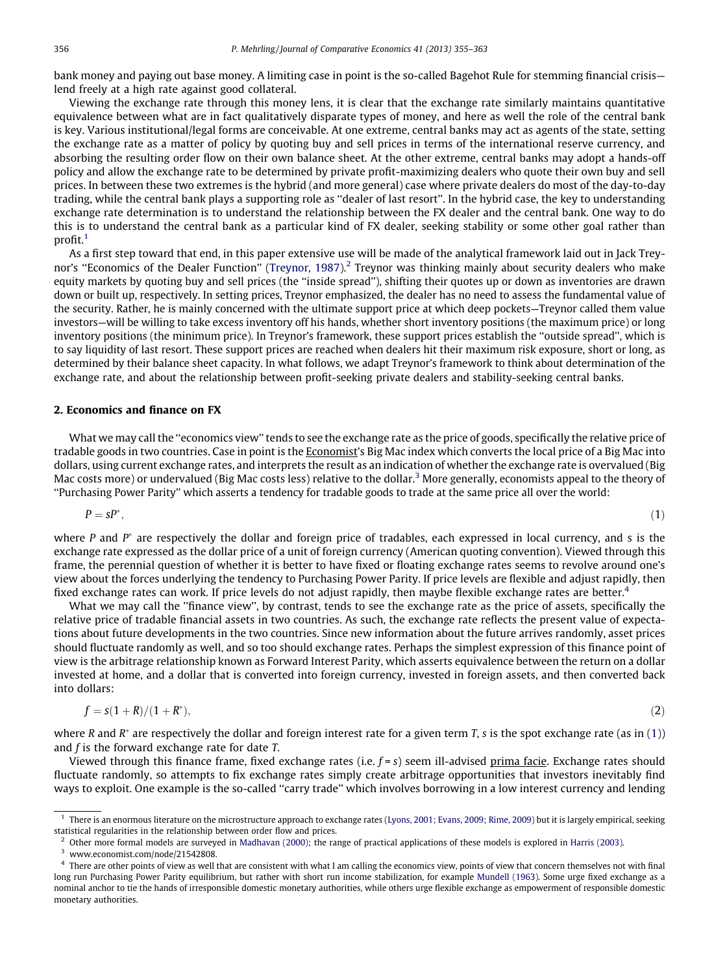bank money and paying out base money. A limiting case in point is the so-called Bagehot Rule for stemming financial crisis lend freely at a high rate against good collateral.

Viewing the exchange rate through this money lens, it is clear that the exchange rate similarly maintains quantitative equivalence between what are in fact qualitatively disparate types of money, and here as well the role of the central bank is key. Various institutional/legal forms are conceivable. At one extreme, central banks may act as agents of the state, setting the exchange rate as a matter of policy by quoting buy and sell prices in terms of the international reserve currency, and absorbing the resulting order flow on their own balance sheet. At the other extreme, central banks may adopt a hands-off policy and allow the exchange rate to be determined by private profit-maximizing dealers who quote their own buy and sell prices. In between these two extremes is the hybrid (and more general) case where private dealers do most of the day-to-day trading, while the central bank plays a supporting role as ''dealer of last resort''. In the hybrid case, the key to understanding exchange rate determination is to understand the relationship between the FX dealer and the central bank. One way to do this is to understand the central bank as a particular kind of FX dealer, seeking stability or some other goal rather than profit.1

As a first step toward that end, in this paper extensive use will be made of the analytical framework laid out in Jack Trey-nor's "Economics of the Dealer Function" ([Treynor, 1987](#page-8-0)).<sup>2</sup> Treynor was thinking mainly about security dealers who make equity markets by quoting buy and sell prices (the ''inside spread''), shifting their quotes up or down as inventories are drawn down or built up, respectively. In setting prices, Treynor emphasized, the dealer has no need to assess the fundamental value of the security. Rather, he is mainly concerned with the ultimate support price at which deep pockets—Treynor called them value investors—will be willing to take excess inventory off his hands, whether short inventory positions (the maximum price) or long inventory positions (the minimum price). In Treynor's framework, these support prices establish the ''outside spread'', which is to say liquidity of last resort. These support prices are reached when dealers hit their maximum risk exposure, short or long, as determined by their balance sheet capacity. In what follows, we adapt Treynor's framework to think about determination of the exchange rate, and about the relationship between profit-seeking private dealers and stability-seeking central banks.

#### 2. Economics and finance on FX

What we may call the ''economics view'' tends to see the exchange rate as the price of goods, specifically the relative price of tradable goods in two countries. Case in point is the Economist's Big Mac index which converts the local price of a Big Mac into dollars, using current exchange rates, and interprets the result as an indication of whether the exchange rate is overvalued (Big Mac costs more) or undervalued (Big Mac costs less) relative to the dollar.<sup>3</sup> More generally, economists appeal to the theory of ''Purchasing Power Parity'' which asserts a tendency for tradable goods to trade at the same price all over the world:

$$
P = sP^*,\tag{1}
$$

where  $P$  and  $P^*$  are respectively the dollar and foreign price of tradables, each expressed in local currency, and s is the exchange rate expressed as the dollar price of a unit of foreign currency (American quoting convention). Viewed through this frame, the perennial question of whether it is better to have fixed or floating exchange rates seems to revolve around one's view about the forces underlying the tendency to Purchasing Power Parity. If price levels are flexible and adjust rapidly, then fixed exchange rates can work. If price levels do not adjust rapidly, then maybe flexible exchange rates are better.<sup>4</sup>

What we may call the ''finance view'', by contrast, tends to see the exchange rate as the price of assets, specifically the relative price of tradable financial assets in two countries. As such, the exchange rate reflects the present value of expectations about future developments in the two countries. Since new information about the future arrives randomly, asset prices should fluctuate randomly as well, and so too should exchange rates. Perhaps the simplest expression of this finance point of view is the arbitrage relationship known as Forward Interest Parity, which asserts equivalence between the return on a dollar invested at home, and a dollar that is converted into foreign currency, invested in foreign assets, and then converted back into dollars:

$$
f = s(1 + R)/(1 + R^*),\tag{2}
$$

where R and R<sup>\*</sup> are respectively the dollar and foreign interest rate for a given term T, s is the spot exchange rate (as in  $(1)$ ) and  $f$  is the forward exchange rate for date  $T$ .

Viewed through this finance frame, fixed exchange rates (i.e.  $f = s$ ) seem ill-advised prima facie. Exchange rates should fluctuate randomly, so attempts to fix exchange rates simply create arbitrage opportunities that investors inevitably find ways to exploit. One example is the so-called ''carry trade'' which involves borrowing in a low interest currency and lending

$$
(\mathbf{1})
$$

<sup>1</sup> There is an enormous literature on the microstructure approach to exchange rates ([Lyons, 2001; Evans, 2009; Rime, 2009](#page-8-0)) but it is largely empirical, seeking statistical regularities in the relationship between order flow and prices.

<sup>&</sup>lt;sup>2</sup> Other more formal models are surveyed in [Madhavan \(2000\)](#page-8-0); the range of practical applications of these models is explored in [Harris \(2003\).](#page-8-0)

<sup>3</sup> www.economist.com/node/21542808.

<sup>4</sup> There are other points of view as well that are consistent with what I am calling the economics view, points of view that concern themselves not with final long run Purchasing Power Parity equilibrium, but rather with short run income stabilization, for example [Mundell \(1963\).](#page-8-0) Some urge fixed exchange as a nominal anchor to tie the hands of irresponsible domestic monetary authorities, while others urge flexible exchange as empowerment of responsible domestic monetary authorities.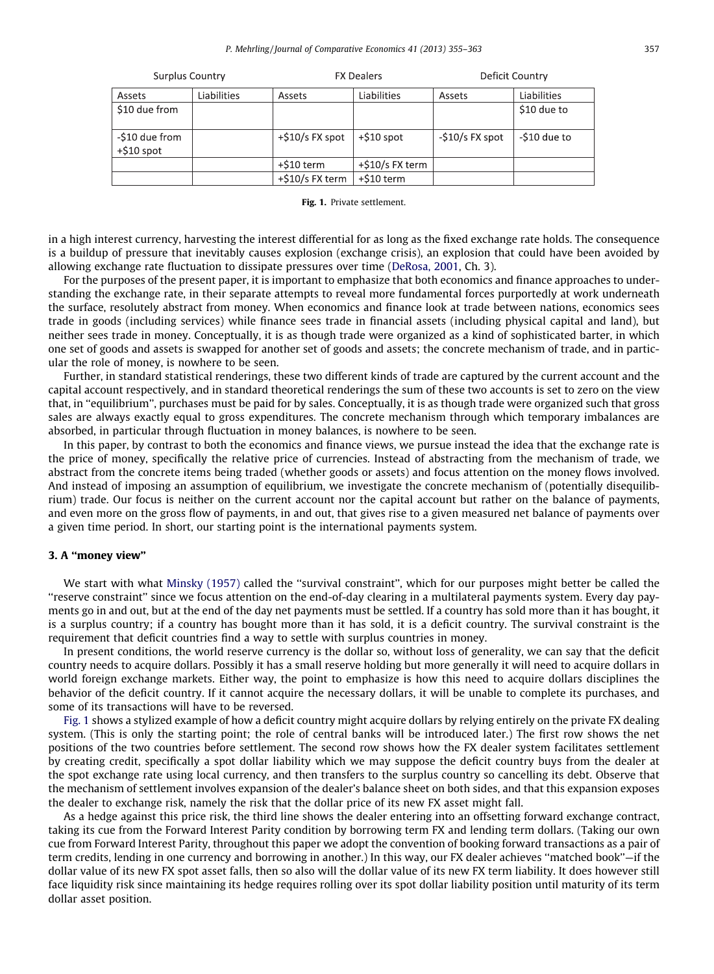<span id="page-2-0"></span>

| Surplus Country                 |             | <b>FX Dealers</b> |                    | Deficit Country  |              |
|---------------------------------|-------------|-------------------|--------------------|------------------|--------------|
| Assets                          | Liabilities | Assets            | Liabilities        | Assets           | Liabilities  |
| \$10 due from                   |             |                   |                    |                  | \$10 due to  |
| -\$10 due from<br>$+$ \$10 spot |             | +\$10/s FX spot   | $+510$ spot        | $-510/s$ FX spot | -\$10 due to |
|                                 |             | +\$10 term        | $+$ \$10/s FX term |                  |              |
|                                 |             | +\$10/s FX term   | +\$10 term         |                  |              |

Fig. 1. Private settlement.

in a high interest currency, harvesting the interest differential for as long as the fixed exchange rate holds. The consequence is a buildup of pressure that inevitably causes explosion (exchange crisis), an explosion that could have been avoided by allowing exchange rate fluctuation to dissipate pressures over time ([DeRosa, 2001](#page-8-0), Ch. 3).

For the purposes of the present paper, it is important to emphasize that both economics and finance approaches to understanding the exchange rate, in their separate attempts to reveal more fundamental forces purportedly at work underneath the surface, resolutely abstract from money. When economics and finance look at trade between nations, economics sees trade in goods (including services) while finance sees trade in financial assets (including physical capital and land), but neither sees trade in money. Conceptually, it is as though trade were organized as a kind of sophisticated barter, in which one set of goods and assets is swapped for another set of goods and assets; the concrete mechanism of trade, and in particular the role of money, is nowhere to be seen.

Further, in standard statistical renderings, these two different kinds of trade are captured by the current account and the capital account respectively, and in standard theoretical renderings the sum of these two accounts is set to zero on the view that, in ''equilibrium'', purchases must be paid for by sales. Conceptually, it is as though trade were organized such that gross sales are always exactly equal to gross expenditures. The concrete mechanism through which temporary imbalances are absorbed, in particular through fluctuation in money balances, is nowhere to be seen.

In this paper, by contrast to both the economics and finance views, we pursue instead the idea that the exchange rate is the price of money, specifically the relative price of currencies. Instead of abstracting from the mechanism of trade, we abstract from the concrete items being traded (whether goods or assets) and focus attention on the money flows involved. And instead of imposing an assumption of equilibrium, we investigate the concrete mechanism of (potentially disequilibrium) trade. Our focus is neither on the current account nor the capital account but rather on the balance of payments, and even more on the gross flow of payments, in and out, that gives rise to a given measured net balance of payments over a given time period. In short, our starting point is the international payments system.

# 3. A ''money view''

We start with what [Minsky \(1957\)](#page-8-0) called the "survival constraint", which for our purposes might better be called the ''reserve constraint'' since we focus attention on the end-of-day clearing in a multilateral payments system. Every day payments go in and out, but at the end of the day net payments must be settled. If a country has sold more than it has bought, it is a surplus country; if a country has bought more than it has sold, it is a deficit country. The survival constraint is the requirement that deficit countries find a way to settle with surplus countries in money.

In present conditions, the world reserve currency is the dollar so, without loss of generality, we can say that the deficit country needs to acquire dollars. Possibly it has a small reserve holding but more generally it will need to acquire dollars in world foreign exchange markets. Either way, the point to emphasize is how this need to acquire dollars disciplines the behavior of the deficit country. If it cannot acquire the necessary dollars, it will be unable to complete its purchases, and some of its transactions will have to be reversed.

Fig. 1 shows a stylized example of how a deficit country might acquire dollars by relying entirely on the private FX dealing system. (This is only the starting point; the role of central banks will be introduced later.) The first row shows the net positions of the two countries before settlement. The second row shows how the FX dealer system facilitates settlement by creating credit, specifically a spot dollar liability which we may suppose the deficit country buys from the dealer at the spot exchange rate using local currency, and then transfers to the surplus country so cancelling its debt. Observe that the mechanism of settlement involves expansion of the dealer's balance sheet on both sides, and that this expansion exposes the dealer to exchange risk, namely the risk that the dollar price of its new FX asset might fall.

As a hedge against this price risk, the third line shows the dealer entering into an offsetting forward exchange contract, taking its cue from the Forward Interest Parity condition by borrowing term FX and lending term dollars. (Taking our own cue from Forward Interest Parity, throughout this paper we adopt the convention of booking forward transactions as a pair of term credits, lending in one currency and borrowing in another.) In this way, our FX dealer achieves ''matched book''—if the dollar value of its new FX spot asset falls, then so also will the dollar value of its new FX term liability. It does however still face liquidity risk since maintaining its hedge requires rolling over its spot dollar liability position until maturity of its term dollar asset position.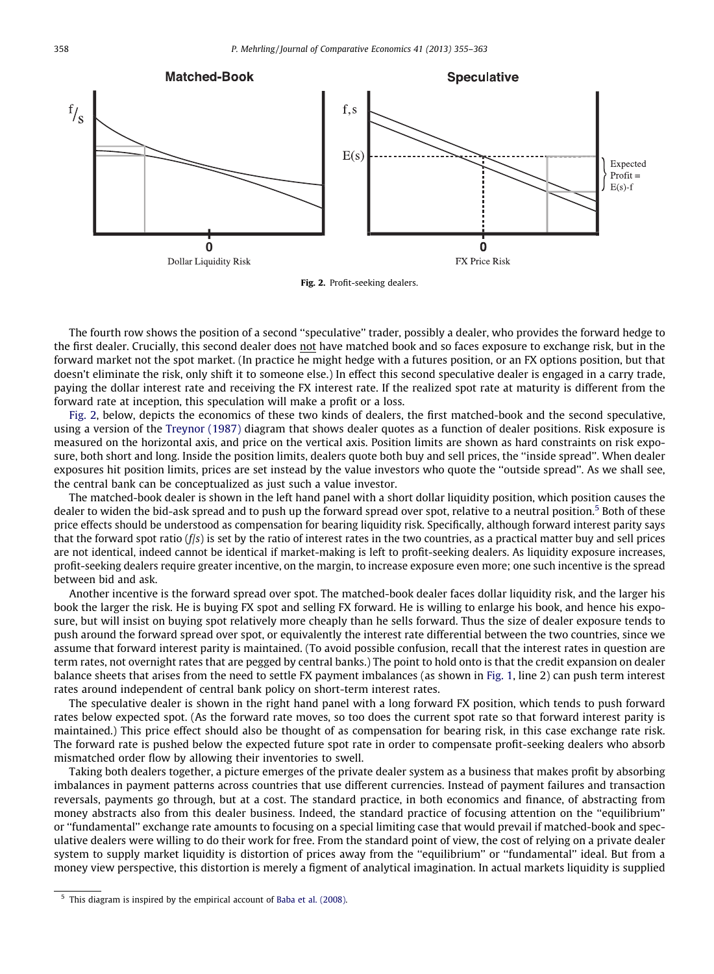

Fig. 2. Profit-seeking dealers.

The fourth row shows the position of a second ''speculative'' trader, possibly a dealer, who provides the forward hedge to the first dealer. Crucially, this second dealer does not have matched book and so faces exposure to exchange risk, but in the forward market not the spot market. (In practice he might hedge with a futures position, or an FX options position, but that doesn't eliminate the risk, only shift it to someone else.) In effect this second speculative dealer is engaged in a carry trade, paying the dollar interest rate and receiving the FX interest rate. If the realized spot rate at maturity is different from the forward rate at inception, this speculation will make a profit or a loss.

Fig. 2, below, depicts the economics of these two kinds of dealers, the first matched-book and the second speculative, using a version of the [Treynor \(1987\)](#page-8-0) diagram that shows dealer quotes as a function of dealer positions. Risk exposure is measured on the horizontal axis, and price on the vertical axis. Position limits are shown as hard constraints on risk exposure, both short and long. Inside the position limits, dealers quote both buy and sell prices, the ''inside spread''. When dealer exposures hit position limits, prices are set instead by the value investors who quote the ''outside spread''. As we shall see, the central bank can be conceptualized as just such a value investor.

The matched-book dealer is shown in the left hand panel with a short dollar liquidity position, which position causes the dealer to widen the bid-ask spread and to push up the forward spread over spot, relative to a neutral position.<sup>5</sup> Both of these price effects should be understood as compensation for bearing liquidity risk. Specifically, although forward interest parity says that the forward spot ratio  $(f/s)$  is set by the ratio of interest rates in the two countries, as a practical matter buy and sell prices are not identical, indeed cannot be identical if market-making is left to profit-seeking dealers. As liquidity exposure increases, profit-seeking dealers require greater incentive, on the margin, to increase exposure even more; one such incentive is the spread between bid and ask.

Another incentive is the forward spread over spot. The matched-book dealer faces dollar liquidity risk, and the larger his book the larger the risk. He is buying FX spot and selling FX forward. He is willing to enlarge his book, and hence his exposure, but will insist on buying spot relatively more cheaply than he sells forward. Thus the size of dealer exposure tends to push around the forward spread over spot, or equivalently the interest rate differential between the two countries, since we assume that forward interest parity is maintained. (To avoid possible confusion, recall that the interest rates in question are term rates, not overnight rates that are pegged by central banks.) The point to hold onto is that the credit expansion on dealer balance sheets that arises from the need to settle FX payment imbalances (as shown in [Fig. 1](#page-2-0), line 2) can push term interest rates around independent of central bank policy on short-term interest rates.

The speculative dealer is shown in the right hand panel with a long forward FX position, which tends to push forward rates below expected spot. (As the forward rate moves, so too does the current spot rate so that forward interest parity is maintained.) This price effect should also be thought of as compensation for bearing risk, in this case exchange rate risk. The forward rate is pushed below the expected future spot rate in order to compensate profit-seeking dealers who absorb mismatched order flow by allowing their inventories to swell.

Taking both dealers together, a picture emerges of the private dealer system as a business that makes profit by absorbing imbalances in payment patterns across countries that use different currencies. Instead of payment failures and transaction reversals, payments go through, but at a cost. The standard practice, in both economics and finance, of abstracting from money abstracts also from this dealer business. Indeed, the standard practice of focusing attention on the ''equilibrium'' or ''fundamental'' exchange rate amounts to focusing on a special limiting case that would prevail if matched-book and speculative dealers were willing to do their work for free. From the standard point of view, the cost of relying on a private dealer system to supply market liquidity is distortion of prices away from the ''equilibrium'' or ''fundamental'' ideal. But from a money view perspective, this distortion is merely a figment of analytical imagination. In actual markets liquidity is supplied

<sup>&</sup>lt;sup>5</sup> This diagram is inspired by the empirical account of [Baba et al. \(2008\).](#page-8-0)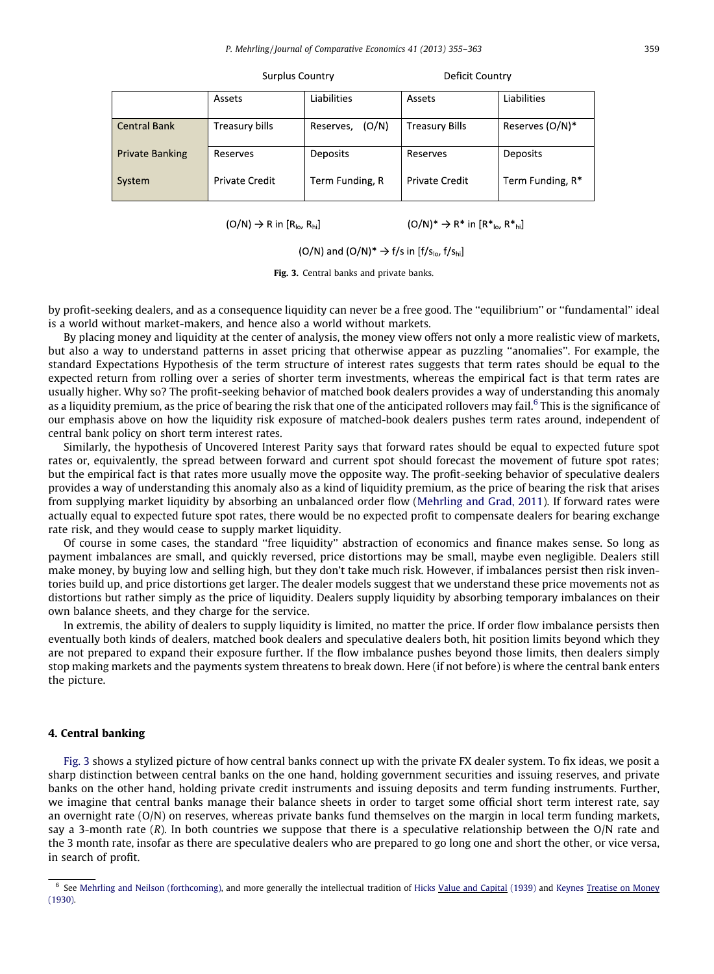|                        | Surplus Country |                    | Deficit Country       |                  |
|------------------------|-----------------|--------------------|-----------------------|------------------|
|                        | Assets          | Liabilities        | Assets                | Liabilities      |
| <b>Central Bank</b>    | Treasury bills  | (O/N)<br>Reserves. | <b>Treasury Bills</b> | Reserves (O/N)*  |
| <b>Private Banking</b> | Reserves        | Deposits           | Reserves              | Deposits         |
| System                 | Private Credit  | Term Funding, R    | Private Credit        | Term Funding, R* |

 $(O/N) \rightarrow R$  in  $[R_{\text{lo}}, R_{\text{hi}}]$ 

 $(O/N)^* \to R^*$  in  $[R^*_{\text{loc}} R^*_{\text{rel}}]$ 

(O/N) and (O/N)<sup>\*</sup>  $\rightarrow$  f/s in [f/s<sub>lo</sub>, f/s<sub>hi</sub>]

Fig. 3. Central banks and private banks.

by profit-seeking dealers, and as a consequence liquidity can never be a free good. The ''equilibrium'' or ''fundamental'' ideal is a world without market-makers, and hence also a world without markets.

By placing money and liquidity at the center of analysis, the money view offers not only a more realistic view of markets, but also a way to understand patterns in asset pricing that otherwise appear as puzzling ''anomalies''. For example, the standard Expectations Hypothesis of the term structure of interest rates suggests that term rates should be equal to the expected return from rolling over a series of shorter term investments, whereas the empirical fact is that term rates are usually higher. Why so? The profit-seeking behavior of matched book dealers provides a way of understanding this anomaly as a liquidity premium, as the price of bearing the risk that one of the anticipated rollovers may fail.<sup>6</sup> This is the significance of our emphasis above on how the liquidity risk exposure of matched-book dealers pushes term rates around, independent of central bank policy on short term interest rates.

Similarly, the hypothesis of Uncovered Interest Parity says that forward rates should be equal to expected future spot rates or, equivalently, the spread between forward and current spot should forecast the movement of future spot rates; but the empirical fact is that rates more usually move the opposite way. The profit-seeking behavior of speculative dealers provides a way of understanding this anomaly also as a kind of liquidity premium, as the price of bearing the risk that arises from supplying market liquidity by absorbing an unbalanced order flow [\(Mehrling and Grad, 2011](#page-8-0)). If forward rates were actually equal to expected future spot rates, there would be no expected profit to compensate dealers for bearing exchange rate risk, and they would cease to supply market liquidity.

Of course in some cases, the standard ''free liquidity'' abstraction of economics and finance makes sense. So long as payment imbalances are small, and quickly reversed, price distortions may be small, maybe even negligible. Dealers still make money, by buying low and selling high, but they don't take much risk. However, if imbalances persist then risk inventories build up, and price distortions get larger. The dealer models suggest that we understand these price movements not as distortions but rather simply as the price of liquidity. Dealers supply liquidity by absorbing temporary imbalances on their own balance sheets, and they charge for the service.

In extremis, the ability of dealers to supply liquidity is limited, no matter the price. If order flow imbalance persists then eventually both kinds of dealers, matched book dealers and speculative dealers both, hit position limits beyond which they are not prepared to expand their exposure further. If the flow imbalance pushes beyond those limits, then dealers simply stop making markets and the payments system threatens to break down. Here (if not before) is where the central bank enters the picture.

## 4. Central banking

Fig. 3 shows a stylized picture of how central banks connect up with the private FX dealer system. To fix ideas, we posit a sharp distinction between central banks on the one hand, holding government securities and issuing reserves, and private banks on the other hand, holding private credit instruments and issuing deposits and term funding instruments. Further, we imagine that central banks manage their balance sheets in order to target some official short term interest rate, say an overnight rate (O/N) on reserves, whereas private banks fund themselves on the margin in local term funding markets, say a 3-month rate  $(R)$ . In both countries we suppose that there is a speculative relationship between the O/N rate and the 3 month rate, insofar as there are speculative dealers who are prepared to go long one and short the other, or vice versa, in search of profit.

<sup>&</sup>lt;sup>6</sup> See [Mehrling and Neilson \(forthcoming\),](#page-8-0) and more generally the intellectual tradition of Hicks *Value and Capital* (1939) and Keynes *Treatise on Money* [\(1930\)](#page-8-0).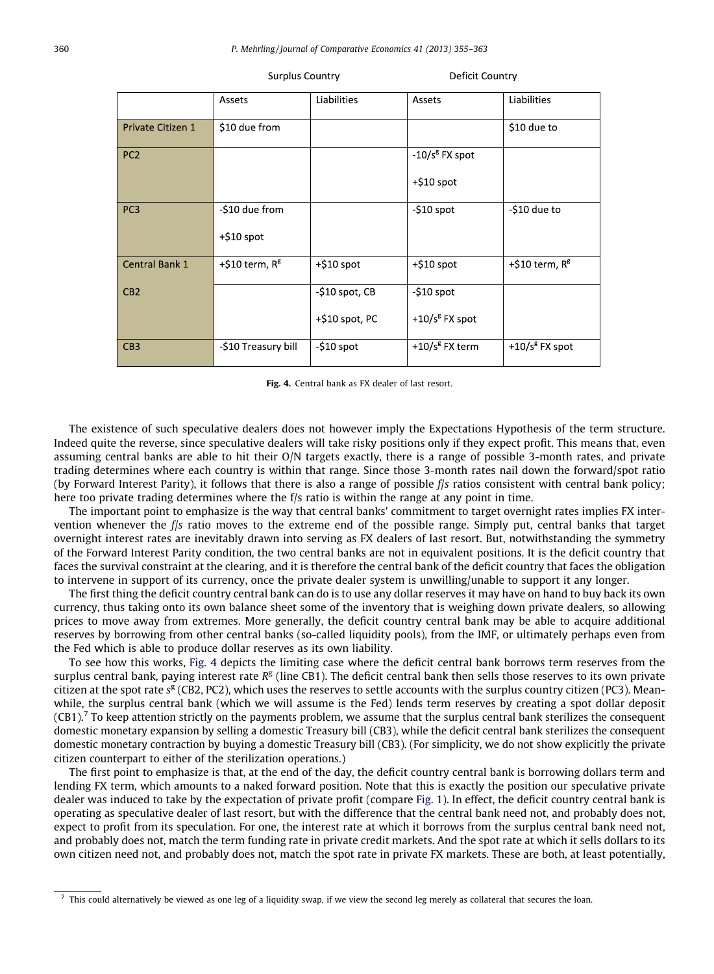**Deficit Country** 

**Surplus Country** 

<span id="page-5-0"></span>

|                       | Assets              | Liabilities       | Assets                     | Liabilities       |
|-----------------------|---------------------|-------------------|----------------------------|-------------------|
| Private Citizen 1     | \$10 due from       |                   |                            | \$10 due to       |
| PC <sub>2</sub>       |                     |                   | $-10/sg$ FX spot           |                   |
|                       |                     |                   | $+ $10$ spot               |                   |
| PC <sub>3</sub>       | -\$10 due from      |                   | $-510$ spot                | -\$10 due to      |
|                       | $+$ \$10 spot       |                   |                            |                   |
| <b>Central Bank 1</b> | +\$10 term, $R^g$   | $+$ \$10 spot     | $+$ \$10 spot              | +\$10 term, $R^g$ |
| CB <sub>2</sub>       |                     | $-510$ spot, CB   | $-510$ spot                |                   |
|                       |                     | $+$ \$10 spot, PC | $+10/sg$ FX spot           |                   |
| CB <sub>3</sub>       | -\$10 Treasury bill | $-510$ spot       | +10/s <sup>g</sup> FX term | $+10/s^g$ FX spot |

Fig. 4. Central bank as FX dealer of last resort.

The existence of such speculative dealers does not however imply the Expectations Hypothesis of the term structure. Indeed quite the reverse, since speculative dealers will take risky positions only if they expect profit. This means that, even assuming central banks are able to hit their O/N targets exactly, there is a range of possible 3-month rates, and private trading determines where each country is within that range. Since those 3-month rates nail down the forward/spot ratio (by Forward Interest Parity), it follows that there is also a range of possible f/s ratios consistent with central bank policy; here too private trading determines where the f/s ratio is within the range at any point in time.

The important point to emphasize is the way that central banks' commitment to target overnight rates implies FX intervention whenever the f/s ratio moves to the extreme end of the possible range. Simply put, central banks that target overnight interest rates are inevitably drawn into serving as FX dealers of last resort. But, notwithstanding the symmetry of the Forward Interest Parity condition, the two central banks are not in equivalent positions. It is the deficit country that faces the survival constraint at the clearing, and it is therefore the central bank of the deficit country that faces the obligation to intervene in support of its currency, once the private dealer system is unwilling/unable to support it any longer.

The first thing the deficit country central bank can do is to use any dollar reserves it may have on hand to buy back its own currency, thus taking onto its own balance sheet some of the inventory that is weighing down private dealers, so allowing prices to move away from extremes. More generally, the deficit country central bank may be able to acquire additional reserves by borrowing from other central banks (so-called liquidity pools), from the IMF, or ultimately perhaps even from the Fed which is able to produce dollar reserves as its own liability.

To see how this works, Fig. 4 depicts the limiting case where the deficit central bank borrows term reserves from the surplus central bank, paying interest rate  $R<sup>g</sup>$  (line CB1). The deficit central bank then sells those reserves to its own private citizen at the spot rate s<sup>g</sup> (CB2, PC2), which uses the reserves to settle accounts with the surplus country citizen (PC3). Meanwhile, the surplus central bank (which we will assume is the Fed) lends term reserves by creating a spot dollar deposit  $(CB1)<sup>7</sup>$  To keep attention strictly on the payments problem, we assume that the surplus central bank sterilizes the consequent domestic monetary expansion by selling a domestic Treasury bill (CB3), while the deficit central bank sterilizes the consequent domestic monetary contraction by buying a domestic Treasury bill (CB3). (For simplicity, we do not show explicitly the private citizen counterpart to either of the sterilization operations.)

The first point to emphasize is that, at the end of the day, the deficit country central bank is borrowing dollars term and lending FX term, which amounts to a naked forward position. Note that this is exactly the position our speculative private dealer was induced to take by the expectation of private profit (compare [Fig. 1\)](#page-2-0). In effect, the deficit country central bank is operating as speculative dealer of last resort, but with the difference that the central bank need not, and probably does not, expect to profit from its speculation. For one, the interest rate at which it borrows from the surplus central bank need not, and probably does not, match the term funding rate in private credit markets. And the spot rate at which it sells dollars to its own citizen need not, and probably does not, match the spot rate in private FX markets. These are both, at least potentially,

 $^7$  This could alternatively be viewed as one leg of a liquidity swap, if we view the second leg merely as collateral that secures the loan.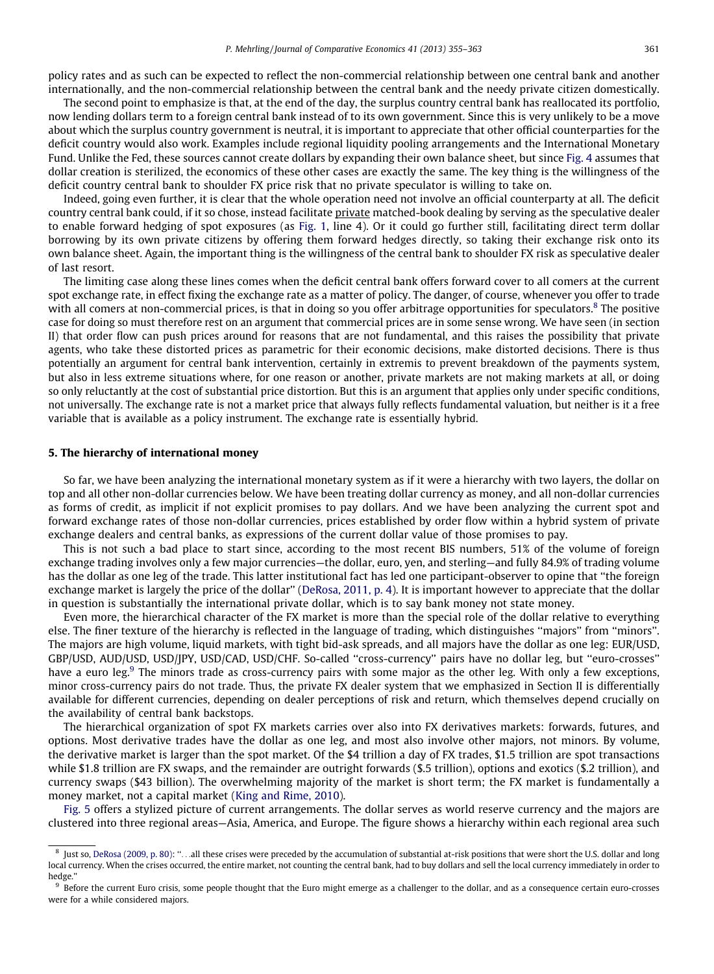policy rates and as such can be expected to reflect the non-commercial relationship between one central bank and another internationally, and the non-commercial relationship between the central bank and the needy private citizen domestically.

The second point to emphasize is that, at the end of the day, the surplus country central bank has reallocated its portfolio, now lending dollars term to a foreign central bank instead of to its own government. Since this is very unlikely to be a move about which the surplus country government is neutral, it is important to appreciate that other official counterparties for the deficit country would also work. Examples include regional liquidity pooling arrangements and the International Monetary Fund. Unlike the Fed, these sources cannot create dollars by expanding their own balance sheet, but since [Fig. 4](#page-5-0) assumes that dollar creation is sterilized, the economics of these other cases are exactly the same. The key thing is the willingness of the deficit country central bank to shoulder FX price risk that no private speculator is willing to take on.

Indeed, going even further, it is clear that the whole operation need not involve an official counterparty at all. The deficit country central bank could, if it so chose, instead facilitate private matched-book dealing by serving as the speculative dealer to enable forward hedging of spot exposures (as [Fig. 1](#page-2-0), line 4). Or it could go further still, facilitating direct term dollar borrowing by its own private citizens by offering them forward hedges directly, so taking their exchange risk onto its own balance sheet. Again, the important thing is the willingness of the central bank to shoulder FX risk as speculative dealer of last resort.

The limiting case along these lines comes when the deficit central bank offers forward cover to all comers at the current spot exchange rate, in effect fixing the exchange rate as a matter of policy. The danger, of course, whenever you offer to trade with all comers at non-commercial prices, is that in doing so you offer arbitrage opportunities for speculators.<sup>8</sup> The positive case for doing so must therefore rest on an argument that commercial prices are in some sense wrong. We have seen (in section II) that order flow can push prices around for reasons that are not fundamental, and this raises the possibility that private agents, who take these distorted prices as parametric for their economic decisions, make distorted decisions. There is thus potentially an argument for central bank intervention, certainly in extremis to prevent breakdown of the payments system, but also in less extreme situations where, for one reason or another, private markets are not making markets at all, or doing so only reluctantly at the cost of substantial price distortion. But this is an argument that applies only under specific conditions, not universally. The exchange rate is not a market price that always fully reflects fundamental valuation, but neither is it a free variable that is available as a policy instrument. The exchange rate is essentially hybrid.

## 5. The hierarchy of international money

So far, we have been analyzing the international monetary system as if it were a hierarchy with two layers, the dollar on top and all other non-dollar currencies below. We have been treating dollar currency as money, and all non-dollar currencies as forms of credit, as implicit if not explicit promises to pay dollars. And we have been analyzing the current spot and forward exchange rates of those non-dollar currencies, prices established by order flow within a hybrid system of private exchange dealers and central banks, as expressions of the current dollar value of those promises to pay.

This is not such a bad place to start since, according to the most recent BIS numbers, 51% of the volume of foreign exchange trading involves only a few major currencies—the dollar, euro, yen, and sterling—and fully 84.9% of trading volume has the dollar as one leg of the trade. This latter institutional fact has led one participant-observer to opine that ''the foreign exchange market is largely the price of the dollar'' [\(DeRosa, 2011, p. 4\)](#page-8-0). It is important however to appreciate that the dollar in question is substantially the international private dollar, which is to say bank money not state money.

Even more, the hierarchical character of the FX market is more than the special role of the dollar relative to everything else. The finer texture of the hierarchy is reflected in the language of trading, which distinguishes ''majors'' from ''minors''. The majors are high volume, liquid markets, with tight bid-ask spreads, and all majors have the dollar as one leg: EUR/USD, GBP/USD, AUD/USD, USD/JPY, USD/CAD, USD/CHF. So-called ''cross-currency'' pairs have no dollar leg, but ''euro-crosses'' have a euro leg.<sup>9</sup> The minors trade as cross-currency pairs with some major as the other leg. With only a few exceptions, minor cross-currency pairs do not trade. Thus, the private FX dealer system that we emphasized in Section II is differentially available for different currencies, depending on dealer perceptions of risk and return, which themselves depend crucially on the availability of central bank backstops.

The hierarchical organization of spot FX markets carries over also into FX derivatives markets: forwards, futures, and options. Most derivative trades have the dollar as one leg, and most also involve other majors, not minors. By volume, the derivative market is larger than the spot market. Of the \$4 trillion a day of FX trades, \$1.5 trillion are spot transactions while \$1.8 trillion are FX swaps, and the remainder are outright forwards (\$.5 trillion), options and exotics (\$.2 trillion), and currency swaps (\$43 billion). The overwhelming majority of the market is short term; the FX market is fundamentally a money market, not a capital market ([King and Rime, 2010\)](#page-8-0).

[Fig. 5](#page-7-0) offers a stylized picture of current arrangements. The dollar serves as world reserve currency and the majors are clustered into three regional areas—Asia, America, and Europe. The figure shows a hierarchy within each regional area such

<sup>&</sup>lt;sup>8</sup> Just so, [DeRosa \(2009, p. 80\)](#page-8-0): "...all these crises were preceded by the accumulation of substantial at-risk positions that were short the U.S. dollar and long local currency. When the crises occurred, the entire market, not counting the central bank, had to buy dollars and sell the local currency immediately in order to hedge.''

<sup>&</sup>lt;sup>9</sup> Before the current Euro crisis, some people thought that the Euro might emerge as a challenger to the dollar, and as a consequence certain euro-crosses were for a while considered majors.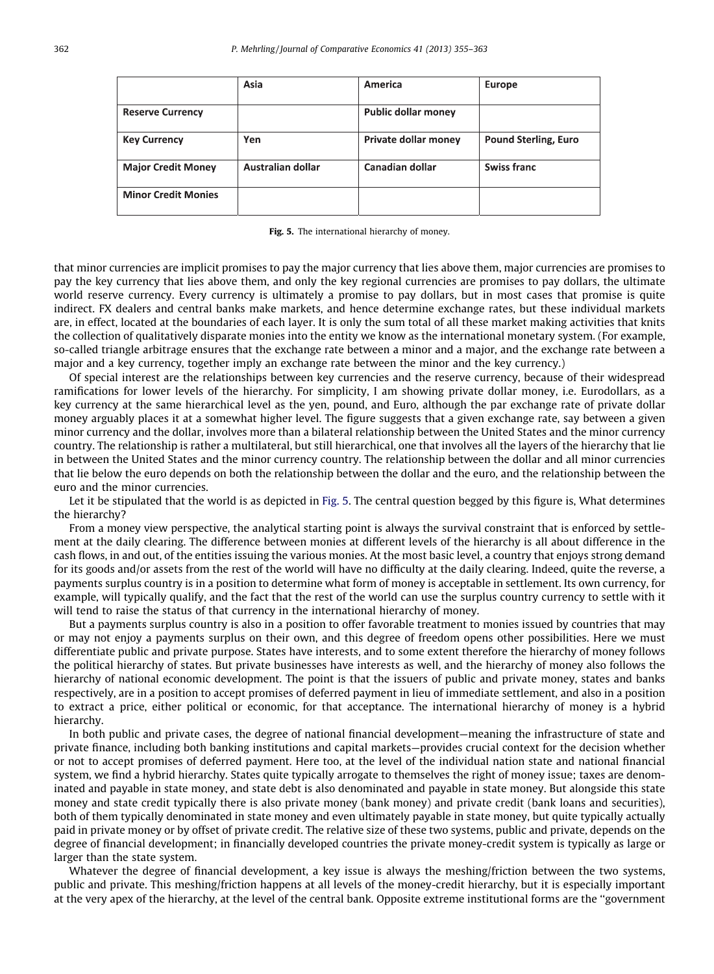<span id="page-7-0"></span>

|                            | Asia              | America                    | Europe                      |
|----------------------------|-------------------|----------------------------|-----------------------------|
| <b>Reserve Currency</b>    |                   | <b>Public dollar money</b> |                             |
| <b>Key Currency</b>        | Yen               | Private dollar money       | <b>Pound Sterling, Euro</b> |
| <b>Major Credit Money</b>  | Australian dollar | Canadian dollar            | Swiss franc                 |
| <b>Minor Credit Monies</b> |                   |                            |                             |

Fig. 5. The international hierarchy of money.

that minor currencies are implicit promises to pay the major currency that lies above them, major currencies are promises to pay the key currency that lies above them, and only the key regional currencies are promises to pay dollars, the ultimate world reserve currency. Every currency is ultimately a promise to pay dollars, but in most cases that promise is quite indirect. FX dealers and central banks make markets, and hence determine exchange rates, but these individual markets are, in effect, located at the boundaries of each layer. It is only the sum total of all these market making activities that knits the collection of qualitatively disparate monies into the entity we know as the international monetary system. (For example, so-called triangle arbitrage ensures that the exchange rate between a minor and a major, and the exchange rate between a major and a key currency, together imply an exchange rate between the minor and the key currency.)

Of special interest are the relationships between key currencies and the reserve currency, because of their widespread ramifications for lower levels of the hierarchy. For simplicity, I am showing private dollar money, i.e. Eurodollars, as a key currency at the same hierarchical level as the yen, pound, and Euro, although the par exchange rate of private dollar money arguably places it at a somewhat higher level. The figure suggests that a given exchange rate, say between a given minor currency and the dollar, involves more than a bilateral relationship between the United States and the minor currency country. The relationship is rather a multilateral, but still hierarchical, one that involves all the layers of the hierarchy that lie in between the United States and the minor currency country. The relationship between the dollar and all minor currencies that lie below the euro depends on both the relationship between the dollar and the euro, and the relationship between the euro and the minor currencies.

Let it be stipulated that the world is as depicted in Fig. 5. The central question begged by this figure is, What determines the hierarchy?

From a money view perspective, the analytical starting point is always the survival constraint that is enforced by settlement at the daily clearing. The difference between monies at different levels of the hierarchy is all about difference in the cash flows, in and out, of the entities issuing the various monies. At the most basic level, a country that enjoys strong demand for its goods and/or assets from the rest of the world will have no difficulty at the daily clearing. Indeed, quite the reverse, a payments surplus country is in a position to determine what form of money is acceptable in settlement. Its own currency, for example, will typically qualify, and the fact that the rest of the world can use the surplus country currency to settle with it will tend to raise the status of that currency in the international hierarchy of money.

But a payments surplus country is also in a position to offer favorable treatment to monies issued by countries that may or may not enjoy a payments surplus on their own, and this degree of freedom opens other possibilities. Here we must differentiate public and private purpose. States have interests, and to some extent therefore the hierarchy of money follows the political hierarchy of states. But private businesses have interests as well, and the hierarchy of money also follows the hierarchy of national economic development. The point is that the issuers of public and private money, states and banks respectively, are in a position to accept promises of deferred payment in lieu of immediate settlement, and also in a position to extract a price, either political or economic, for that acceptance. The international hierarchy of money is a hybrid hierarchy.

In both public and private cases, the degree of national financial development—meaning the infrastructure of state and private finance, including both banking institutions and capital markets—provides crucial context for the decision whether or not to accept promises of deferred payment. Here too, at the level of the individual nation state and national financial system, we find a hybrid hierarchy. States quite typically arrogate to themselves the right of money issue; taxes are denominated and payable in state money, and state debt is also denominated and payable in state money. But alongside this state money and state credit typically there is also private money (bank money) and private credit (bank loans and securities), both of them typically denominated in state money and even ultimately payable in state money, but quite typically actually paid in private money or by offset of private credit. The relative size of these two systems, public and private, depends on the degree of financial development; in financially developed countries the private money-credit system is typically as large or larger than the state system.

Whatever the degree of financial development, a key issue is always the meshing/friction between the two systems, public and private. This meshing/friction happens at all levels of the money-credit hierarchy, but it is especially important at the very apex of the hierarchy, at the level of the central bank. Opposite extreme institutional forms are the ''government